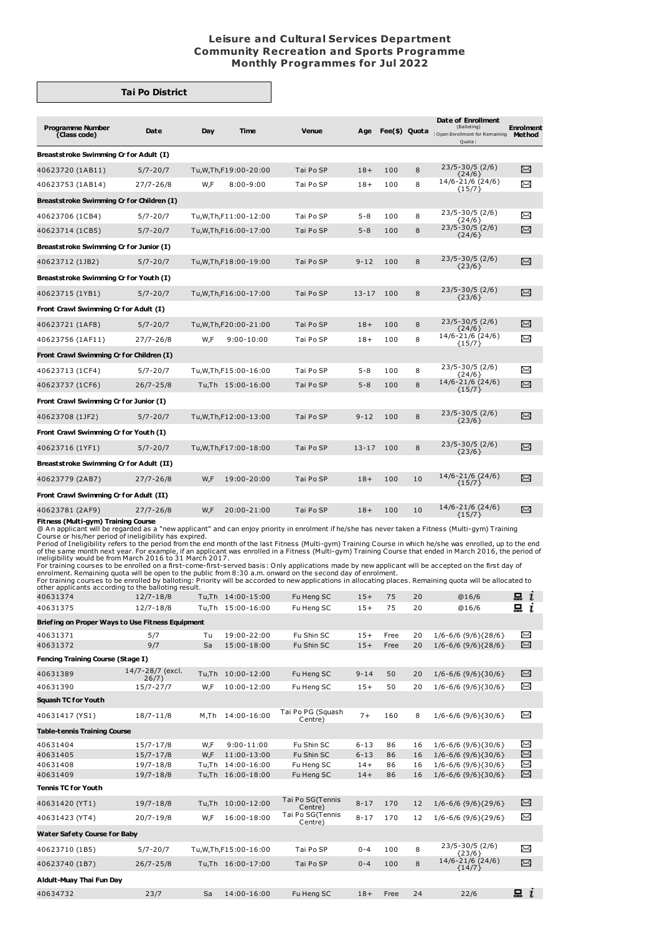## **Leisure and Cultural Services Department Community Recreation and Sports Programme Monthly Programmes for Jul 2022**

## **Tai Po District**

| <b>Programme Number</b><br>(Class code)   | Date          | Day | <b>Time</b>                 | <b>Venue</b> | Age       | Fee(\$) Quota |    | Date of Enrollment<br>(Balloting)<br>(Open Enrollment for Remaining<br>Quota | <b>Enrolment</b><br><b>Method</b> |  |
|-------------------------------------------|---------------|-----|-----------------------------|--------------|-----------|---------------|----|------------------------------------------------------------------------------|-----------------------------------|--|
| Breaststroke Swimming Cr for Adult (I)    |               |     |                             |              |           |               |    |                                                                              |                                   |  |
| 40623720 (1AB11)                          | $5/7 - 20/7$  |     | Tu, W, Th, F19: 00 - 20: 00 | Tai Po SP    | $18+$     | 100           | 8  | $23/5 - 30/5$ (2/6)<br>${24/6}$                                              | X                                 |  |
| 40623753 (1AB14)                          | $27/7 - 26/8$ | W,F | $8:00 - 9:00$               | Tai Po SP    | $18+$     | 100           | 8  | 14/6-21/6 (24/6)<br>${15/7}$                                                 | ≻                                 |  |
| Breaststroke Swimming Cr for Children (I) |               |     |                             |              |           |               |    |                                                                              |                                   |  |
| 40623706 (1CB4)                           | $5/7 - 20/7$  |     | Tu, W, Th, F11: 00-12: 00   | Tai Po SP    | $5 - 8$   | 100           | 8  | 23/5-30/5 (2/6)<br>${24/6}$                                                  | χ                                 |  |
| 40623714 (1CB5)                           | $5/7 - 20/7$  |     | Tu, W, Th, F16: 00-17: 00   | Tai Po SP    | $5 - 8$   | 100           | 8  | $23/5 - 30/5$ (2/6)<br>${24/6}$                                              | X                                 |  |
| Breaststroke Swimming Cr for Junior (I)   |               |     |                             |              |           |               |    |                                                                              |                                   |  |
| 40623712 (1JB2)                           | $5/7 - 20/7$  |     | Tu, W, Th, F18: 00-19: 00   | Tai Po SP    | $9 - 12$  | 100           | 8  | $23/5 - 30/5$ (2/6)<br>${23/6}$                                              | X                                 |  |
| Breaststroke Swimming Cr for Youth (I)    |               |     |                             |              |           |               |    |                                                                              |                                   |  |
| 40623715 (1YB1)                           | $5/7 - 20/7$  |     | Tu, W, Th, F16: 00-17: 00   | Tai Po SP    | $13 - 17$ | 100           | 8  | $23/5 - 30/5$ (2/6)<br>${23/6}$                                              | X                                 |  |
| Front Crawl Swimming Cr for Adult (I)     |               |     |                             |              |           |               |    |                                                                              |                                   |  |
| 40623721 (1AF8)                           | $5/7 - 20/7$  |     | Tu, W, Th, F20: 00 - 21: 00 | Tai Po SP    | $18+$     | 100           | 8  | $23/5 - 30/5$ (2/6)<br>$\{24/6\}$                                            | $\Join$                           |  |
| 40623756 (1AF11)                          | $27/7 - 26/8$ | W.F | $9:00 - 10:00$              | Tai Po SP    | $18+$     | 100           | 8  | 14/6-21/6 (24/6)<br>${15/7}$                                                 | ⊠                                 |  |
| Front Crawl Swimming Cr for Children (I)  |               |     |                             |              |           |               |    |                                                                              |                                   |  |
| 40623713 (1CF4)                           | $5/7 - 20/7$  |     | Tu, W, Th, F15: 00-16: 00   | Tai Po SP    | $5 - 8$   | 100           | 8  | 23/5-30/5 (2/6)<br>{24/6}                                                    | X                                 |  |
| 40623737 (1CF6)                           | $26/7 - 25/8$ |     | Tu,Th 15:00-16:00           | Tai Po SP    | $5 - 8$   | 100           | 8  | 14/6-21/6 (24/6)<br>${15/7}$                                                 | X                                 |  |
| Front Crawl Swimming Cr for Junior (I)    |               |     |                             |              |           |               |    |                                                                              |                                   |  |
| 40623708 (1JF2)                           | $5/7 - 20/7$  |     | Tu, W, Th, F12: 00-13: 00   | Tai Po SP    | $9 - 12$  | 100           | 8  | $23/5 - 30/5$ (2/6)<br>${23/6}$                                              | X                                 |  |
| Front Crawl Swimming Cr for Youth (I)     |               |     |                             |              |           |               |    |                                                                              |                                   |  |
| 40623716 (1YF1)                           | $5/7 - 20/7$  |     | Tu, W, Th, F17: 00-18: 00   | Tai Po SP    | $13 - 17$ | 100           | 8  | $23/5 - 30/5$ (2/6)<br>${23/6}$                                              | X                                 |  |
| Breaststroke Swimming Cr for Adult (II)   |               |     |                             |              |           |               |    |                                                                              |                                   |  |
| 40623779 (2AB7)                           | $27/7 - 26/8$ | W,F | 19:00-20:00                 | Tai Po SP    | $18+$     | 100           | 10 | 14/6-21/6 (24/6)<br>${15/7}$                                                 | $\Join$                           |  |
| Front Crawl Swimming Cr for Adult (II)    |               |     |                             |              |           |               |    |                                                                              |                                   |  |
| 40623781 (2AF9)                           | $27/7 - 26/8$ | W,F | 20:00-21:00                 | Tai Po SP    | $18+$     | 100           | 10 | 14/6-21/6 (24/6)<br>${15/7}$                                                 | X                                 |  |
| Fitness (Multi-gym) Training Course       |               |     |                             |              |           |               |    |                                                                              |                                   |  |

**Fitness (Multi-gym) Training Course**<br>© An applicant will be regarded as a "new applicant" and can enjoy priority in enrolment if he/she has never taken a Fitness (Multi-gym) Training<br>© An applicant will be regarded as a "

For training courses to be enrolled on a first-come-first-served basis: Only applications made by new applicant will be accepted on the first day of<br>enrolment. Remaining quota will be open to the public from 8:30 a.m. onwa

| 40631374                                         | $12/7 - 18/8$             |          | Tu,Th 14:00-15:00         | Fu Heng SC                   | $15+$    | 75   | 20 | @16/6                           | $\mathbf{a}$ i    |
|--------------------------------------------------|---------------------------|----------|---------------------------|------------------------------|----------|------|----|---------------------------------|-------------------|
| 40631375                                         | $12/7 - 18/8$             |          | Tu.Th 15:00-16:00         | Fu Heng SC                   | $15+$    | 75   | 20 | @16/6                           | 묘<br>$\mathbf{r}$ |
| Briefing on Proper Ways to Use Fitness Equipment |                           |          |                           |                              |          |      |    |                                 |                   |
| 40631371                                         | 5/7                       | Tu       | 19:00-22:00               | Fu Shin SC                   | $15+$    | Free | 20 | $1/6 - 6/6$ (9/6){28/6}         | X                 |
| 40631372                                         | 9/7                       | Sa       | 15:00-18:00               | Fu Shin SC                   | $15+$    | Free | 20 | $1/6 - 6/6$ (9/6){28/6}         | X                 |
| Fencing Training Course (Stage I)                |                           |          |                           |                              |          |      |    |                                 |                   |
| 40631389                                         | 14/7-28/7 (excl.<br>26/7) | Tu,Th    | 10:00-12:00               | Fu Heng SC                   | $9 - 14$ | 50   | 20 | $1/6 - 6/6$ (9/6){30/6}         | ⊠                 |
| 40631390                                         | $15/7 - 27/7$             | W,F      | 10:00-12:00               | Fu Heng SC                   | $15+$    | 50   | 20 | $1/6 - 6/6$ (9/6){30/6}         | ⊠                 |
| <b>Squash TC for Youth</b>                       |                           |          |                           |                              |          |      |    |                                 |                   |
| 40631417 (YS1)                                   | $18/7 - 11/8$             | $M$ , Th | 14:00-16:00               | Tai Po PG (Squash<br>Centre) | $7+$     | 160  | 8  | $1/6 - 6/6$ (9/6){30/6}         | X                 |
| <b>Table-tennis Training Course</b>              |                           |          |                           |                              |          |      |    |                                 |                   |
| 40631404                                         | $15/7 - 17/8$             | W,F      | $9:00 - 11:00$            | Fu Shin SC                   | $6 - 13$ | 86   | 16 | $1/6 - 6/6$ (9/6){30/6}         | X                 |
| 40631405                                         | $15/7 - 17/8$             | W.F      | 11:00-13:00               | Fu Shin SC                   | $6 - 13$ | 86   | 16 | $1/6 - 6/6$ (9/6){30/6}         | X                 |
| 40631408                                         | $19/7 - 18/8$             | Tu.Th    | 14:00-16:00               | Fu Heng SC                   | $14+$    | 86   | 16 | $1/6 - 6/6$ (9/6){30/6}         | X                 |
| 40631409                                         | $19/7 - 18/8$             |          | Tu,Th 16:00-18:00         | Fu Heng SC                   | $14+$    | 86   | 16 | $1/6 - 6/6$ (9/6){30/6}         | X                 |
| <b>Tennis TC for Youth</b>                       |                           |          |                           |                              |          |      |    |                                 |                   |
| 40631420 (YT1)                                   | $19/7 - 18/8$             |          | Tu,Th 10:00-12:00         | Tai Po SG(Tennis<br>Centre)  | $8 - 17$ | 170  | 12 | $1/6 - 6/6$ (9/6){29/6}         | X                 |
| 40631423 (YT4)                                   | $20/7 - 19/8$             | W,F      | 16:00-18:00               | Tai Po SG(Tennis<br>Centre)  | $8 - 17$ | 170  | 12 | $1/6 - 6/6$ (9/6){29/6}         | X                 |
| Water Safety Course for Baby                     |                           |          |                           |                              |          |      |    |                                 |                   |
| 40623710 (1B5)                                   | $5/7 - 20/7$              |          | Tu, W, Th, F15: 00-16: 00 | Tai Po SP                    | $0 - 4$  | 100  | 8  | $23/5 - 30/5$ (2/6)<br>${23/6}$ | ⊠                 |
| 40623740 (1B7)                                   | $26/7 - 25/8$             |          | Tu,Th 16:00-17:00         | Tai Po SP                    | $0 - 4$  | 100  | 8  | 14/6-21/6 (24/6)<br>${14/7}$    | X                 |
| Aldult-Muay Thai Fun Day                         |                           |          |                           |                              |          |      |    |                                 |                   |
| 40634732                                         | 23/7                      | Sa       | 14:00-16:00               | Fu Heng SC                   | $18+$    | Free | 24 | 22/6                            | i<br>묘            |